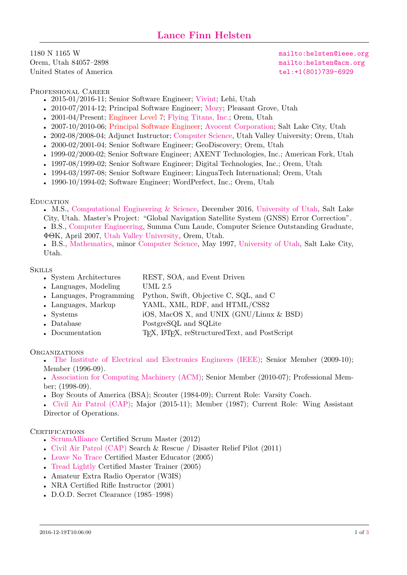<span id="page-0-0"></span>1180 N 1165 W Orem, Utah 84057–2898 United States of America

<mailto:helsten@ieee.org> <mailto:helsten@acm.org> [tel:+1\(801\)739-6929](tel:+1(801)739-6929)

PROFESSIONAL CAREER

- 2015-01/2016-11; Senior Software Engineer; [Vivint;](http://vivint.com) Lehi, Utah
- 2010-07/2014-12; Principal Software Engineer; [Mozy;](http://mozy.com) Pleasant Grove, Utah
- 2001-04/Present; [Engineer Level 7;](#page-0-0) [Flying Titans, Inc.;](http://flyingtitans.com) Orem, Utah
- 2007-10/2010-06; [Principal Software Engineer;](#page-0-0) [Avocent Corporation;](http://avocent.com) Salt Lake City, Utah
- 2002-08/2008-04; Adjunct Instructor; [Computer Science,](http://www.uvu.edu/cs/) Utah Valley University; Orem, Utah
- 2000-02/2001-04; Senior Software Engineer; GeoDiscovery; Orem, Utah
- 1999-02/2000-02; Senior Software Engineer; AXENT Technologies, Inc.; American Fork, Utah
- 1997-08/1999-02; Senior Software Engineer; Digital Technologies, Inc.; Orem, Utah
- 1994-03/1997-08; Senior Software Engineer; LinguaTech International; Orem, Utah
- 1990-10/1994-02; Software Engineer; WordPerfect, Inc.; Orem, Utah

## **EDUCATION**

• M.S., [Computational Engineering & Science,](http://www.ces.utah.edu) December 2016, [University of Utah,](http://utah.edu) Salt Lake City, Utah. Master's Project: "Global Navigation Satellite System (GNSS) Error Correction". • B.S., [Computer Engineering,](http://www.uvu.edu/tc/) Summa Cum Laude, Computer Science Outstanding Graduate, ΦΘK, April 2007, [Utah Valley University,](http://www.uvu.edu/) Orem, Utah.

• B.S., [Mathematics,](http://math.utah.edu) minor [Computer Science,](http://cs.utah.edu) May 1997, [University of Utah,](http://utah.edu) Salt Lake City, Utah.

# **SKILLS**

- System Architectures REST, SOA, and Event Driven
- Languages, Modeling UML 2.5
- Languages, Programming Python, Swift, Objective C, SQL, and C
- Languages, Markup YAML, XML, RDF, and HTML/CSS2
- Systems iOS, MacOS X, and UNIX (GNU/Linux & BSD)
- Database PostgreSQL and SQLite
- Documentation T<sub>EX</sub>, L<sup>AT</sup>EX, reStructured Text, and PostScript

## **ORGANIZATIONS**

• [The Institute of Electrical and Electronics Engineers \(IEEE\);](http://ieee.org) Senior Member (2009-10); Member (1996-09).

• [Association for Computing Machinery \(ACM\);](http://acm.org) Senior Member (2010-07); Professional Member; (1998-09).

• Boy Scouts of America (BSA); Scouter (1984-09); Current Role: Varsity Coach.

• [Civil Air Patrol \(CAP\);](http://www.gocivilairpatrol.com) Major (2015-11); Member (1987); Current Role: Wing Assistant Director of Operations.

## **CERTIFICATIONS**

- [ScrumAlliance](http://scrumalliance.org) Certified Scrum Master (2012)
- [Civil Air Patrol \(CAP\)](http://www.gocivilairpatrol.com) Search & Rescue / Disaster Relief Pilot (2011)
- [Leave No Trace](http://lnt.org) Certified Master Educator (2005)
- [Tread Lightly](http://treadlightly.org) Certified Master Trainer (2005)
- Amateur Extra Radio Operator (W3IS)
- NRA Certified Rifle Instructor (2001)
- D.O.D. Secret Clearance (1985–1998)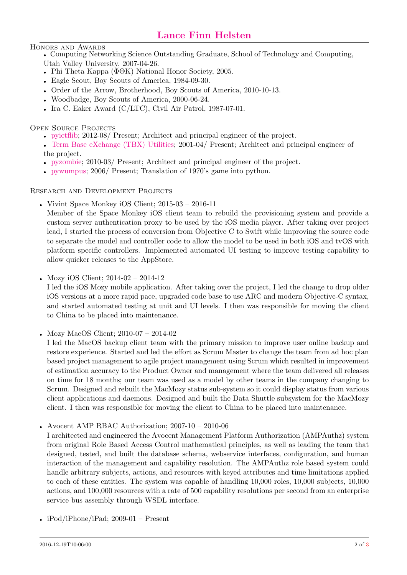# HONORS AND AWARDS

• Computing Networking Science Outstanding Graduate, School of Technology and Computing, Utah Valley University, 2007-04-26.

- Phi Theta Kappa (ΦΘΚ) National Honor Society, 2005.
- Eagle Scout, Boy Scouts of America, 1984-09-30.
- Order of the Arrow, Brotherhood, Boy Scouts of America, 2010-10-13.
- Woodbadge, Boy Scouts of America, 2000-06-24.
- Ira C. Eaker Award (C/LTC), Civil Air Patrol, 1987-07-01.

OPEN SOURCE PROJECTS

• [pyietflib;](https://github.com/lanhel/pyietflib) 2012-08/ Present; Architect and principal engineer of the project.

• [Term Base eXchange \(TBX\) Utilities;](http://sourceforge.net/projects/tbxutil/) 2001-04/ Present; Architect and principal engineer of the project.

- [pyzombie;](http://code.google.com/p/pyzombie/) 2010-03/ Present; Architect and principal engineer of the project.
- [pywumpus;](http://code.google.com/p/pywumpus/) 2006/ Present; Translation of 1970's game into python.

Research and Development Projects

• Vivint Space Monkey iOS Client;  $2015-03 - 2016-11$ 

Member of the Space Monkey iOS client team to rebuild the provisioning system and provide a custom server authentication proxy to be used by the iOS media player. After taking over project lead, I started the process of conversion from Objective C to Swift while improving the source code to separate the model and controller code to allow the model to be used in both iOS and tvOS with platform specific controllers. Implemented automated UI testing to improve testing capability to allow quicker releases to the AppStore.

• Mozy iOS Client; 2014-02 - 2014-12

I led the iOS Mozy mobile application. After taking over the project, I led the change to drop older iOS versions at a more rapid pace, upgraded code base to use ARC and modern Objective-C syntax, and started automated testing at unit and UI levels. I then was responsible for moving the client to China to be placed into maintenance.

• Mozy MacOS Client; 2010-07 – 2014-02

I led the MacOS backup client team with the primary mission to improve user online backup and restore experience. Started and led the effort as Scrum Master to change the team from ad hoc plan based project management to agile project management using Scrum which resulted in improvement of estimation accuracy to the Product Owner and management where the team delivered all releases on time for 18 months; our team was used as a model by other teams in the company changing to Scrum. Designed and rebuilt the MacMozy status sub-system so it could display status from various client applications and daemons. Designed and built the Data Shuttle subsystem for the MacMozy client. I then was responsible for moving the client to China to be placed into maintenance.

• Avocent AMP RBAC Authorization; 2007-10 – 2010-06

I architected and engineered the Avocent Management Platform Authorization (AMPAuthz) system from original Role Based Access Control mathematical principles, as well as leading the team that designed, tested, and built the database schema, webservice interfaces, configuration, and human interaction of the management and capability resolution. The AMPAuthz role based system could handle arbitrary subjects, actions, and resources with keyed attributes and time limitations applied to each of these entities. The system was capable of handling 10,000 roles, 10,000 subjects, 10,000 actions, and 100,000 resources with a rate of 500 capability resolutions per second from an enterprise service bus assembly through WSDL interface.

• iPod/iPhone/iPad;  $2009-01$  – Present